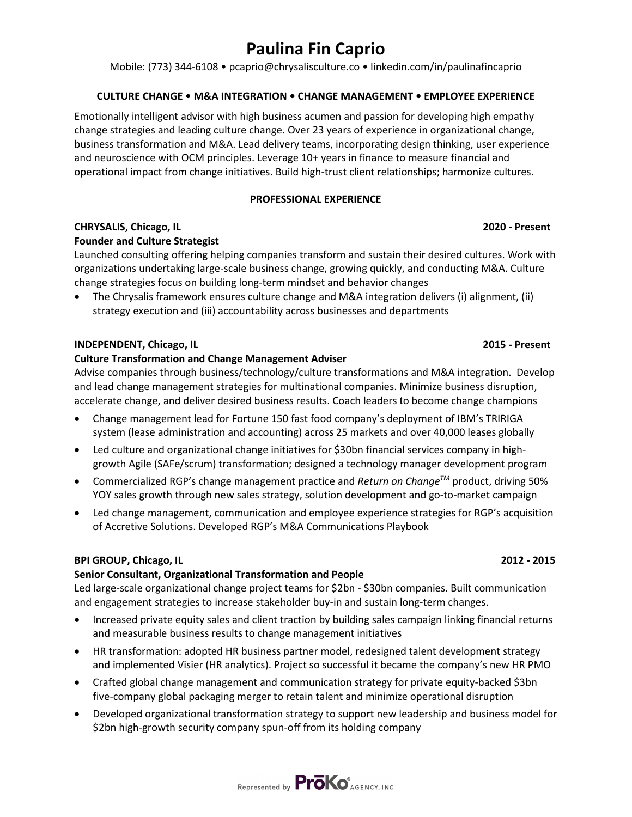# **Paulina Fin Caprio**

Mobile: (773) 344-6108 • pcaprio@chrysalisculture.co • linkedin.com/in/paulinafincaprio

# **CULTURE CHANGE • M&A INTEGRATION • CHANGE MANAGEMENT • EMPLOYEE EXPERIENCE**

Emotionally intelligent advisor with high business acumen and passion for developing high empathy change strategies and leading culture change. Over 23 years of experience in organizational change, business transformation and M&A. Lead delivery teams, incorporating design thinking, user experience and neuroscience with OCM principles. Leverage 10+ years in finance to measure financial and operational impact from change initiatives. Build high-trust client relationships; harmonize cultures.

# **PROFESSIONAL EXPERIENCE**

# **CHRYSALIS, Chicago, IL 2020 - Present**

# **Founder and Culture Strategist**

Launched consulting offering helping companies transform and sustain their desired cultures. Work with organizations undertaking large-scale business change, growing quickly, and conducting M&A. Culture change strategies focus on building long-term mindset and behavior changes

• The Chrysalis framework ensures culture change and M&A integration delivers (i) alignment, (ii) strategy execution and (iii) accountability across businesses and departments

# **INDEPENDENT, Chicago, IL 2015 - Present**

# **Culture Transformation and Change Management Adviser**

Advise companies through business/technology/culture transformations and M&A integration. Develop and lead change management strategies for multinational companies. Minimize business disruption, accelerate change, and deliver desired business results. Coach leaders to become change champions

- Change management lead for Fortune 150 fast food company's deployment of IBM's TRIRIGA system (lease administration and accounting) across 25 markets and over 40,000 leases globally
- Led culture and organizational change initiatives for \$30bn financial services company in highgrowth Agile (SAFe/scrum) transformation; designed a technology manager development program
- Commercialized RGP's change management practice and *Return on ChangeTM* product, driving 50% YOY sales growth through new sales strategy, solution development and go-to-market campaign
- Led change management, communication and employee experience strategies for RGP's acquisition of Accretive Solutions. Developed RGP's M&A Communications Playbook

# **BPI GROUP, Chicago, IL 2012 - 2015**

### **Senior Consultant, Organizational Transformation and People**

Led large-scale organizational change project teams for \$2bn - \$30bn companies. Built communication and engagement strategies to increase stakeholder buy-in and sustain long-term changes.

- Increased private equity sales and client traction by building sales campaign linking financial returns and measurable business results to change management initiatives
- HR transformation: adopted HR business partner model, redesigned talent development strategy and implemented Visier (HR analytics). Project so successful it became the company's new HR PMO
- Crafted global change management and communication strategy for private equity-backed \$3bn five-company global packaging merger to retain talent and minimize operational disruption
- Developed organizational transformation strategy to support new leadership and business model for \$2bn high-growth security company spun-off from its holding company